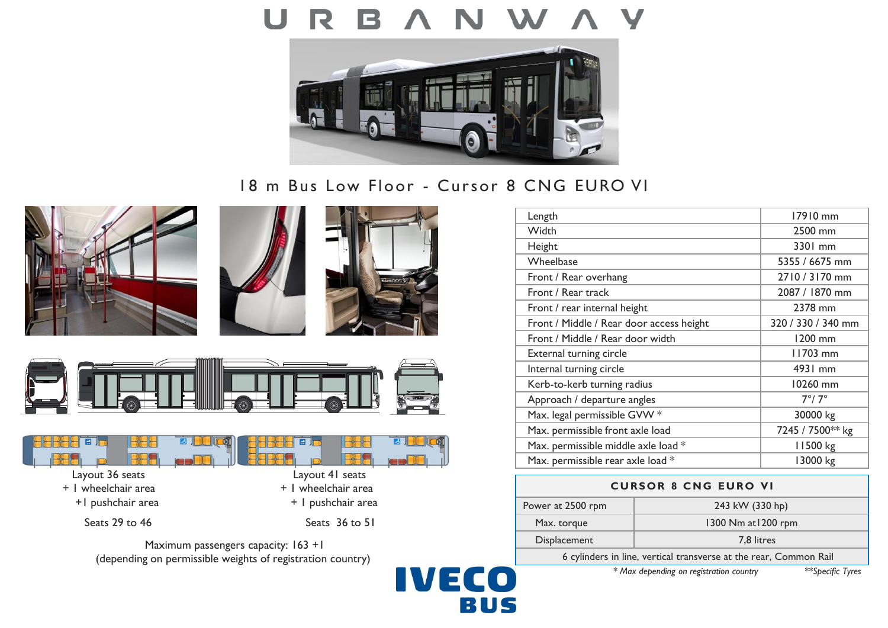

# 18 m Bus Low Floor - Cursor 8 CNG EURO VI











Maximum passengers capacity: 163 +1 (depending on permissible weights of registration country)

**IVECO** BUS

| Length                                   | 17910 mm           |
|------------------------------------------|--------------------|
| Width                                    | 2500 mm            |
| Height                                   | 3301 mm            |
| Wheelbase                                | 5355 / 6675 mm     |
| Front / Rear overhang                    | 2710 / 3170 mm     |
| Front / Rear track                       | 2087 / 1870 mm     |
| Front / rear internal height             | 2378 mm            |
| Front / Middle / Rear door access height | 320 / 330 / 340 mm |
| Front / Middle / Rear door width         | 1200 mm            |
| External turning circle                  | 11703 mm           |
| Internal turning circle                  | 4931 mm            |
| Kerb-to-kerb turning radius              | 10260 mm           |
| Approach / departure angles              | $7^\circ/7^\circ$  |
| Max. legal permissible GVW *             | 30000 kg           |
| Max. permissible front axle load         | 7245 / 7500** kg   |
| Max. permissible middle axle load *      | 11500 kg           |
| Max. permissible rear axle load *        | 13000 kg           |

# **CURSOR 8 CNG EURO VI** Power at 2500 rpm 243 kW (330 hp) Max. torque 1300 Nm at 1200 rpm Displacement 2,8 litres

6 cylinders in line, vertical transverse at the rear, Common Rail

*\* Max depending on registration country \*\*Specific Tyres*